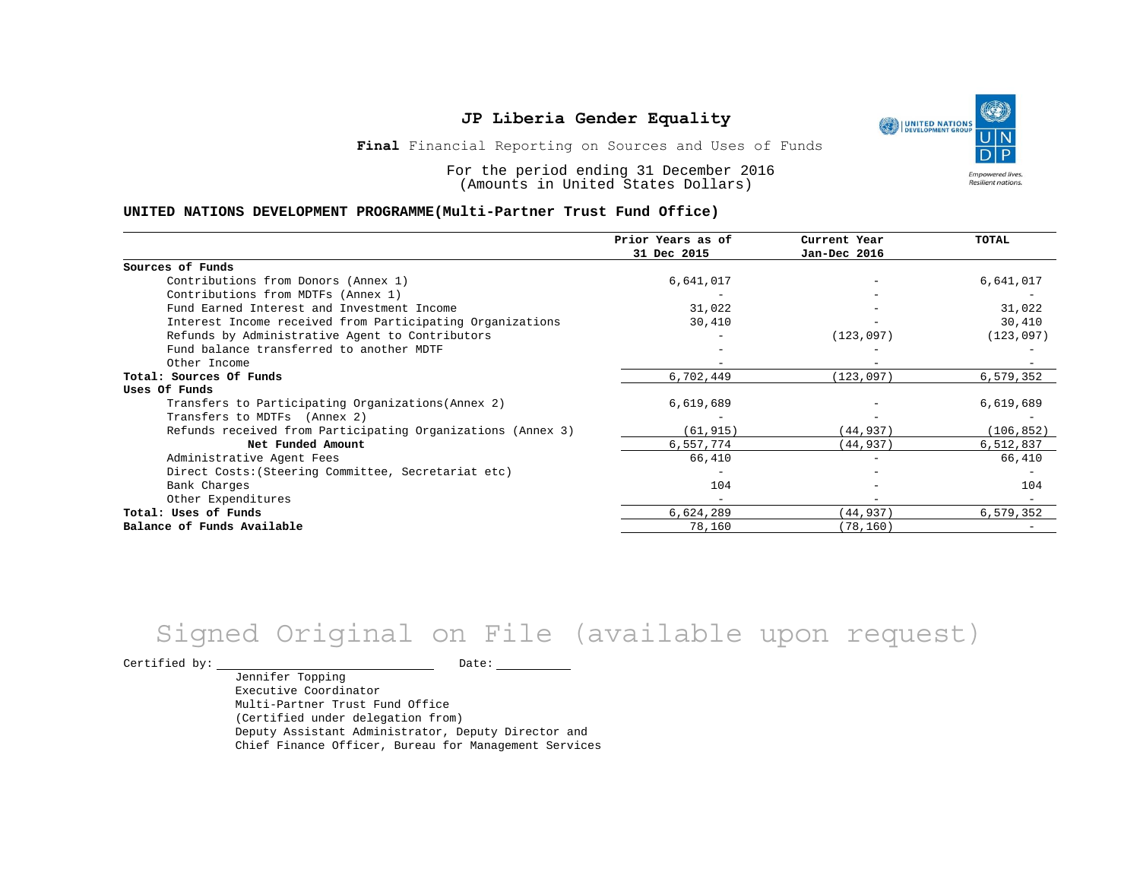

**Final** Financial Reporting on Sources and Uses of Funds

For the period ending 31 December 2016 (Amounts in United States Dollars)

#### **UNITED NATIONS DEVELOPMENT PROGRAMME(Multi-Partner Trust Fund Office)**

|                                                             | Prior Years as of<br>31 Dec 2015 | Current Year<br>Jan-Dec 2016 | TOTAL      |
|-------------------------------------------------------------|----------------------------------|------------------------------|------------|
|                                                             |                                  |                              |            |
| Sources of Funds                                            |                                  |                              |            |
| Contributions from Donors (Annex 1)                         | 6,641,017                        |                              | 6,641,017  |
| Contributions from MDTFs (Annex 1)                          |                                  |                              |            |
| Fund Earned Interest and Investment Income                  | 31,022                           |                              | 31,022     |
| Interest Income received from Participating Organizations   | 30,410                           |                              | 30,410     |
| Refunds by Administrative Agent to Contributors             |                                  | (123, 097)                   | (123, 097) |
| Fund balance transferred to another MDTF                    |                                  |                              |            |
| Other Income                                                |                                  |                              |            |
| Total: Sources Of Funds                                     | 6,702,449                        | (123, 097)                   | 6,579,352  |
| Uses Of Funds                                               |                                  |                              |            |
| Transfers to Participating Organizations (Annex 2)          | 6,619,689                        |                              | 6,619,689  |
| Transfers to MDTFs (Annex 2)                                |                                  |                              |            |
| Refunds received from Participating Organizations (Annex 3) | (61, 915)                        | (44, 937)                    | (106, 852) |
| Net Funded Amount                                           | 6,557,774                        | (44, 937)                    | 6,512,837  |
| Administrative Agent Fees                                   | 66,410                           |                              | 66,410     |
| Direct Costs: (Steering Committee, Secretariat etc)         |                                  |                              |            |
| Bank Charges                                                | 104                              |                              | 104        |
| Other Expenditures                                          |                                  |                              |            |
| Total: Uses of Funds                                        | 6,624,289                        | (44,937)                     | 6,579,352  |
| Balance of Funds Available                                  | 78,160                           | (78, 160)                    |            |

# Signed Original on File (available upon request)

Certified by: Date:

Jennifer Topping Executive Coordinator Multi-Partner Trust Fund Office (Certified under delegation from) Deputy Assistant Administrator, Deputy Director and Chief Finance Officer, Bureau for Management Services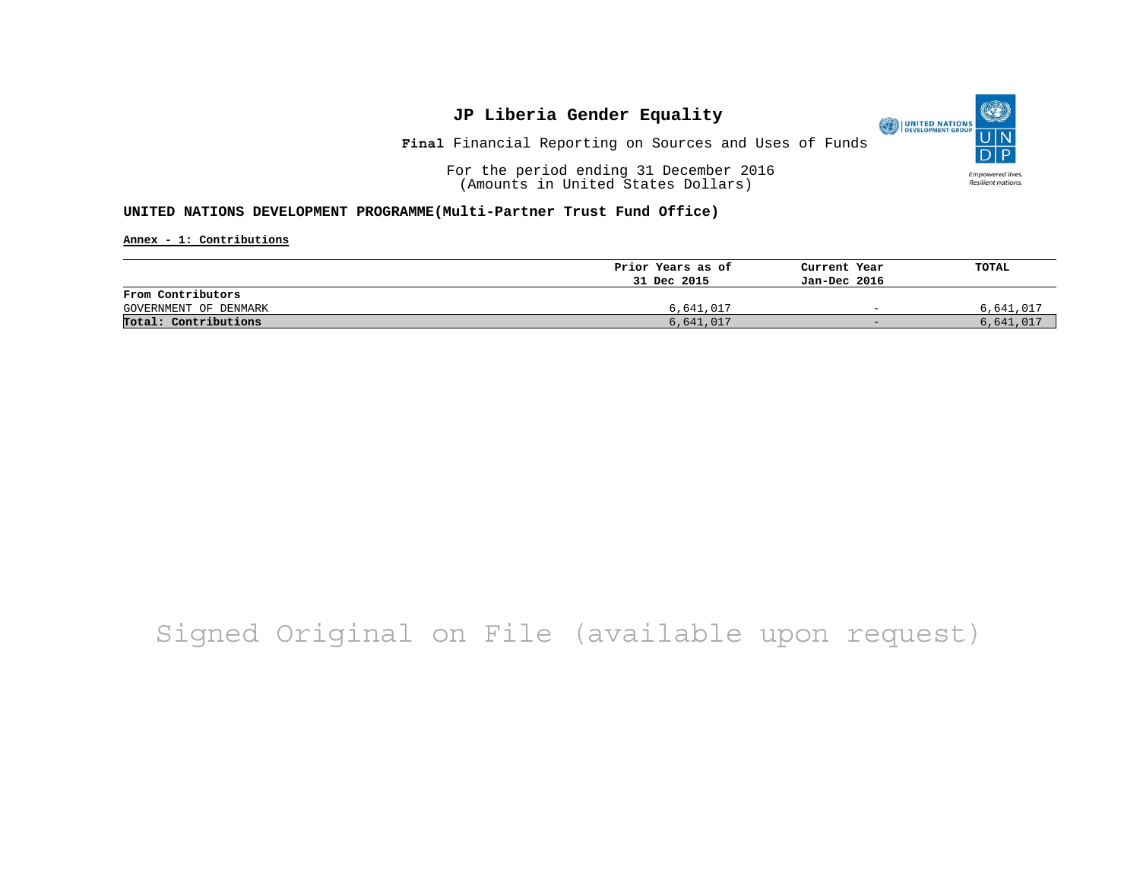**Final** Financial Reporting on Sources and Uses of Funds

For the period ending 31 December 2016 (Amounts in United States Dollars)

**UNITED NATIONS DEVELOPMENT PROGRAMME(Multi-Partner Trust Fund Office)**

**Annex - 1: Contributions**

|                       | Prior Years as of | Current Year             | TOTAL     |
|-----------------------|-------------------|--------------------------|-----------|
|                       | 31 Dec 2015       | Jan-Dec 2016             |           |
| From Contributors     |                   |                          |           |
| GOVERNMENT OF DENMARK | 6,641,017         | $\equiv$                 | 6,641,017 |
| Total: Contributions  | 6,641,017         | $\overline{\phantom{0}}$ | 6,641,017 |

# Signed Original on File (available upon request)

O UNITED NATIONS Empowered lives. Resilient nations.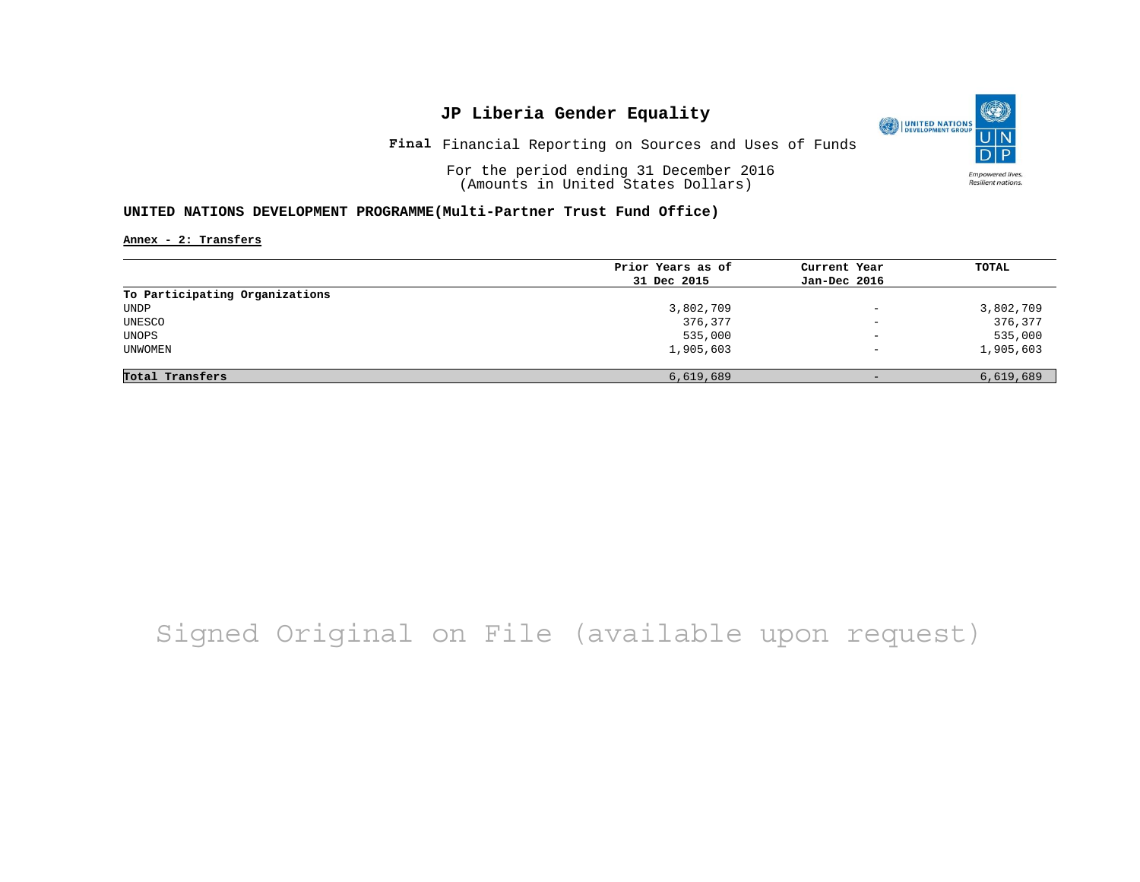**Final** Financial Reporting on Sources and Uses of Funds

For the period ending 31 December 2016 (Amounts in United States Dollars)

#### **UNITED NATIONS DEVELOPMENT PROGRAMME(Multi-Partner Trust Fund Office)**

**Annex - 2: Transfers**

|                                | Prior Years as of | Current Year             | TOTAL     |
|--------------------------------|-------------------|--------------------------|-----------|
|                                | 31 Dec 2015       | Jan-Dec 2016             |           |
| To Participating Organizations |                   |                          |           |
| UNDP                           | 3,802,709         | $\overline{\phantom{m}}$ | 3,802,709 |
| UNESCO                         | 376,377           | $\overline{\phantom{a}}$ | 376,377   |
| UNOPS                          | 535,000           | $\qquad \qquad -$        | 535,000   |
| UNWOMEN                        | 1,905,603         | $\overline{\phantom{0}}$ | 1,905,603 |
|                                |                   |                          |           |
| Total Transfers                | 6,619,689         | $-$                      | 6,619,689 |

# Signed Original on File (available upon request)

O UNITED NATIONS **Empowered lives** Resilient nations.